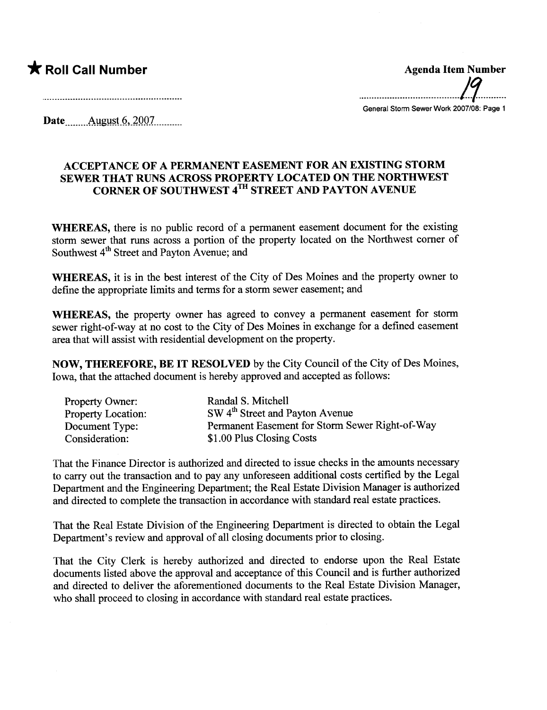\* Roll Call Number Agenda Item Number .......................................17.........

General Storm Sewer Work 2007/08: Page 1

Date August 6, 2007

## ACCEPTANCE OF A PERMANENT EASEMENT FOR AN EXISTING STORM SEWER THAT RUNS ACROSS PROPERTY LOCATED ON THE NORTHWEST CORNER OF SOUTHWEST 4TH STREET AND PAYTON AVENUE

WHEREAS, there is no public record of a permanent easement document for the existing storm sewer that rus across a portion of the property located on the Northwest comer of Southwest 4<sup>th</sup> Street and Payton Avenue; and

WHEREAS, it is in the best interest of the City of Des Moines and the property owner to define the appropriate limits and terms for a storm sewer easement; and

WHEREAS, the property owner has agreed to convey a permanent easement for storm sewer right-of-way at no cost to the City of Des Moines in exchange for a defined easement area that will assist with residential development on the property.

NOW, THEREFORE, BE IT RESOLVED by the City Council of the City of Des Moines, Iowa, that the attached document is hereby approved and accepted as follows:

| <b>Property Owner:</b>    | Randal S. Mitchell                              |
|---------------------------|-------------------------------------------------|
| <b>Property Location:</b> | SW 4 <sup>th</sup> Street and Payton Avenue     |
| Document Type:            | Permanent Easement for Storm Sewer Right-of-Way |
| Consideration:            | \$1.00 Plus Closing Costs                       |

That the Finance Director is authorized and directed to issue checks in the amounts necessar to carry out the transaction and to pay any unforeseen additional costs certified by the Legal Department and the Engineering Deparment; the Real Estate Division Manager is authorized and directed to complete the transaction in accordance with standard real estate practices.

That the Real Estate Division of the Engineering Deparment is directed to obtain the Legal Department's review and approval of all closing documents prior to closing.

That the City Clerk is hereby authorized and directed to endorse upon the Real Estate documents listed above the approval and acceptance of this Council and is further authorized and directed to deliver the aforementioned documents to the Real Estate Division Manager, who shall proceed to closing in accordance with standard real estate practices.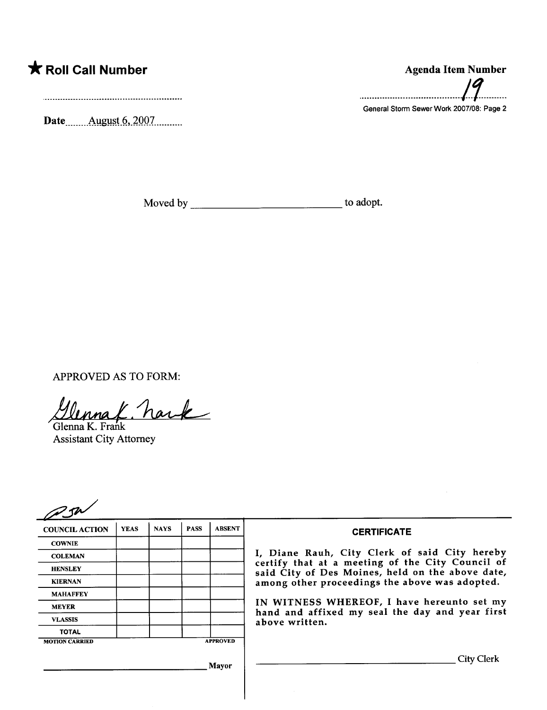## \* Roll Call Number Agenda Item Number

Date \_\_\_\_\_ August 6, 2007 \_\_\_\_\_\_

Moved by to adopt.

APPROVED AS TO FORM:<br> $\mathcal{U}_{\text{Mma}}$   $\mathcal{L}$  have

Assistant City Attorney

| 251                   |             |             |             |                 |                                                                                                                                                                                                                                                                                                                            |
|-----------------------|-------------|-------------|-------------|-----------------|----------------------------------------------------------------------------------------------------------------------------------------------------------------------------------------------------------------------------------------------------------------------------------------------------------------------------|
| <b>COUNCIL ACTION</b> | <b>YEAS</b> | <b>NAYS</b> | <b>PASS</b> | <b>ABSENT</b>   | <b>CERTIFICATE</b>                                                                                                                                                                                                                                                                                                         |
| <b>COWNIE</b>         |             |             |             |                 |                                                                                                                                                                                                                                                                                                                            |
| <b>COLEMAN</b>        |             |             |             |                 | I, Diane Rauh, City Clerk of said City hereby<br>certify that at a meeting of the City Council of<br>said City of Des Moines, held on the above date,<br>among other proceedings the above was adopted.<br>IN WITNESS WHEREOF, I have hereunto set my<br>hand and affixed my seal the day and year first<br>above written. |
| <b>HENSLEY</b>        |             |             |             |                 |                                                                                                                                                                                                                                                                                                                            |
| <b>KIERNAN</b>        |             |             |             |                 |                                                                                                                                                                                                                                                                                                                            |
| <b>MAHAFFEY</b>       |             |             |             |                 |                                                                                                                                                                                                                                                                                                                            |
| <b>MEYER</b>          |             |             |             |                 |                                                                                                                                                                                                                                                                                                                            |
| <b>VLASSIS</b>        |             |             |             |                 |                                                                                                                                                                                                                                                                                                                            |
| <b>TOTAL</b>          |             |             |             |                 |                                                                                                                                                                                                                                                                                                                            |
| <b>MOTION CARRIED</b> |             |             |             | <b>APPROVED</b> |                                                                                                                                                                                                                                                                                                                            |
|                       |             |             |             | Mayor           | City Clerk                                                                                                                                                                                                                                                                                                                 |

## .......................................1.1.........

General Storm Sewer Work 2007/08: Page 2